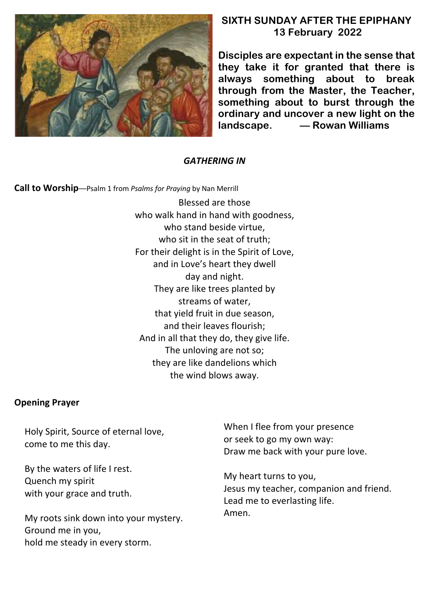

# **SIXTH SUNDAY AFTER THE EPIPHANY 13 February 2022**

**Disciples are expectant in the sense that they take it for granted that there is always something about to break through from the Master, the Teacher, something about to burst through the ordinary and uncover a new light on the landscape. –– Rowan Williams**

# *GATHERING IN*

**Call to Worship**––Psalm 1 from *Psalms for Praying* by Nan Merrill

Blessed are those who walk hand in hand with goodness, who stand beside virtue, who sit in the seat of truth; For their delight is in the Spirit of Love, and in Love's heart they dwell day and night. They are like trees planted by streams of water, that yield fruit in due season, and their leaves flourish; And in all that they do, they give life. The unloving are not so; they are like dandelions which the wind blows away.

## **Opening Prayer**

Holy Spirit, Source of eternal love, come to me this day.

By the waters of life I rest. Quench my spirit with your grace and truth.

My roots sink down into your mystery. Ground me in you, hold me steady in every storm.

When I flee from your presence or seek to go my own way: Draw me back with your pure love.

My heart turns to you, Jesus my teacher, companion and friend. Lead me to everlasting life. Amen.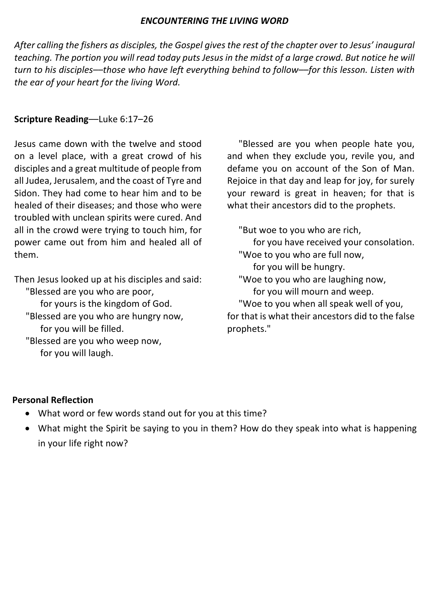#### *ENCOUNTERING THE LIVING WORD*

*After calling the fishers as disciples, the Gospel gives the rest of the chapter over to Jesus' inaugural teaching. The portion you will read today puts Jesus in the midst of a large crowd. But notice he will turn to his disciples––those who have left everything behind to follow––for this lesson. Listen with the ear of your heart for the living Word.*

# **Scripture Reading**––Luke 6:17–26

Jesus came down with the twelve and stood on a level place, with a great crowd of his disciples and a great multitude of people from all Judea, Jerusalem, and the coast of Tyre and Sidon. They had come to hear him and to be healed of their diseases; and those who were troubled with unclean spirits were cured. And all in the crowd were trying to touch him, for power came out from him and healed all of them.

Then Jesus looked up at his disciples and said: "Blessed are you who are poor, for yours is the kingdom of God. "Blessed are you who are hungry now, for you will be filled. "Blessed are you who weep now, for you will laugh.

 "Blessed are you when people hate you, and when they exclude you, revile you, and defame you on account of the Son of Man. Rejoice in that day and leap for joy, for surely your reward is great in heaven; for that is what their ancestors did to the prophets.

 "But woe to you who are rich, for you have received your consolation. "Woe to you who are full now, for you will be hungry. "Woe to you who are laughing now, for you will mourn and weep. "Woe to you when all speak well of you, for that is what their ancestors did to the false prophets."

## **Personal Reflection**

- What word or few words stand out for you at this time?
- What might the Spirit be saying to you in them? How do they speak into what is happening in your life right now?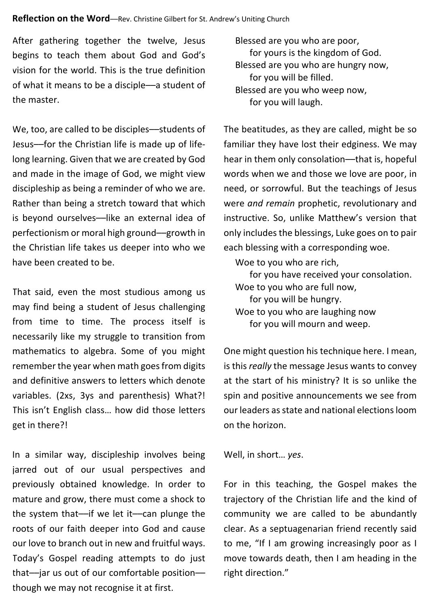#### **Reflection on the Word**—Rev. Christine Gilbert for St. Andrew's Uniting Church

After gathering together the twelve, Jesus begins to teach them about God and God's vision for the world. This is the true definition of what it means to be a disciple––a student of the master.

We, too, are called to be disciples––students of Jesus––for the Christian life is made up of lifelong learning. Given that we are created by God and made in the image of God, we might view discipleship as being a reminder of who we are. Rather than being a stretch toward that which is beyond ourselves––like an external idea of perfectionism or moral high ground––growth in the Christian life takes us deeper into who we have been created to be.

That said, even the most studious among us may find being a student of Jesus challenging from time to time. The process itself is necessarily like my struggle to transition from mathematics to algebra. Some of you might remember the year when math goes from digits and definitive answers to letters which denote variables. (2xs, 3ys and parenthesis) What?! This isn't English class… how did those letters get in there?!

In a similar way, discipleship involves being jarred out of our usual perspectives and previously obtained knowledge. In order to mature and grow, there must come a shock to the system that––if we let it––can plunge the roots of our faith deeper into God and cause our love to branch out in new and fruitful ways. Today's Gospel reading attempts to do just that––jar us out of our comfortable position–– though we may not recognise it at first.

 Blessed are you who are poor, for yours is the kingdom of God. Blessed are you who are hungry now, for you will be filled. Blessed are you who weep now, for you will laugh.

The beatitudes, as they are called, might be so familiar they have lost their edginess. We may hear in them only consolation––that is, hopeful words when we and those we love are poor, in need, or sorrowful. But the teachings of Jesus were *and remain* prophetic, revolutionary and instructive. So, unlike Matthew's version that only includesthe blessings, Luke goes on to pair each blessing with a corresponding woe.

Woe to you who are rich,

for you have received your consolation. Woe to you who are full now,

for you will be hungry.

 Woe to you who are laughing now for you will mourn and weep.

One might question his technique here. I mean, is this *really* the message Jesus wants to convey at the start of his ministry? It is so unlike the spin and positive announcements we see from our leaders as state and national elections loom on the horizon.

Well, in short… *yes*.

For in this teaching, the Gospel makes the trajectory of the Christian life and the kind of community we are called to be abundantly clear. As a septuagenarian friend recently said to me, "If I am growing increasingly poor as I move towards death, then I am heading in the right direction."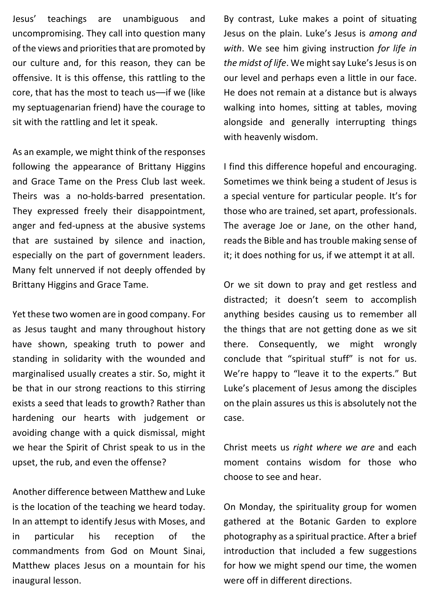Jesus' teachings are unambiguous and uncompromising. They call into question many of the views and priorities that are promoted by our culture and, for this reason, they can be offensive. It is this offense, this rattling to the core, that has the most to teach us––if we (like my septuagenarian friend) have the courage to sit with the rattling and let it speak.

As an example, we might think of the responses following the appearance of Brittany Higgins and Grace Tame on the Press Club last week. Theirs was a no-holds-barred presentation. They expressed freely their disappointment, anger and fed-upness at the abusive systems that are sustained by silence and inaction, especially on the part of government leaders. Many felt unnerved if not deeply offended by Brittany Higgins and Grace Tame.

Yet these two women are in good company. For as Jesus taught and many throughout history have shown, speaking truth to power and standing in solidarity with the wounded and marginalised usually creates a stir. So, might it be that in our strong reactions to this stirring exists a seed that leads to growth? Rather than hardening our hearts with judgement or avoiding change with a quick dismissal, might we hear the Spirit of Christ speak to us in the upset, the rub, and even the offense?

Another difference between Matthew and Luke is the location of the teaching we heard today. In an attempt to identify Jesus with Moses, and in particular his reception of the commandments from God on Mount Sinai, Matthew places Jesus on a mountain for his inaugural lesson.

By contrast, Luke makes a point of situating Jesus on the plain. Luke's Jesus is *among and with*. We see him giving instruction *for life in the midst of life*. We might say Luke's Jesus is on our level and perhaps even a little in our face. He does not remain at a distance but is always walking into homes, sitting at tables, moving alongside and generally interrupting things with heavenly wisdom.

I find this difference hopeful and encouraging. Sometimes we think being a student of Jesus is a special venture for particular people. It's for those who are trained, set apart, professionals. The average Joe or Jane, on the other hand, reads the Bible and has trouble making sense of it; it does nothing for us, if we attempt it at all.

Or we sit down to pray and get restless and distracted; it doesn't seem to accomplish anything besides causing us to remember all the things that are not getting done as we sit there. Consequently, we might wrongly conclude that "spiritual stuff" is not for us. We're happy to "leave it to the experts." But Luke's placement of Jesus among the disciples on the plain assures us this is absolutely not the case.

Christ meets us *right where we are* and each moment contains wisdom for those who choose to see and hear.

On Monday, the spirituality group for women gathered at the Botanic Garden to explore photography as a spiritual practice. After a brief introduction that included a few suggestions for how we might spend our time, the women were off in different directions.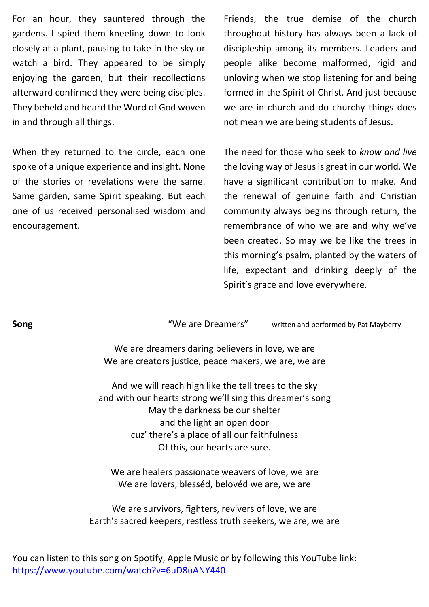For an hour, they sauntered through the gardens. I spied them kneeling down to look closely at a plant, pausing to take in the sky or watch a bird. They appeared to be simply enjoying the garden, but their recollections afterward confirmed they were being disciples. They beheld and heard the Word of God woven in and through all things.

When they returned to the circle, each one spoke of a unique experience and insight. None of the stories or revelations were the same. Same garden, same Spirit speaking. But each one of us received personalised wisdom and encouragement.

Friends, the true demise of the church throughout history has always been a lack of discipleship among its members. Leaders and people alike become malformed, rigid and unloving when we stop listening for and being formed in the Spirit of Christ. And just because we are in church and do churchy things does not mean we are being students of Jesus.

The need for those who seek to *know and live* the loving way of Jesus is great in our world. We have a significant contribution to make. And the renewal of genuine faith and Christian community always begins through return, the remembrance of who we are and why we've been created. So may we be like the trees in this morning's psalm, planted by the waters of life, expectant and drinking deeply of the Spirit's grace and love everywhere.

**Song** Song **"We are Dreamers"** written and performed by Pat Mayberry

We are dreamers daring believers in love, we are We are creators justice, peace makers, we are, we are

And we will reach high like the tall trees to the sky and with our hearts strong we'll sing this dreamer's song May the darkness be our shelter and the light an open door cuz' there's a place of all our faithfulness Of this, our hearts are sure.

We are healers passionate weavers of love, we are We are lovers, blesséd, belovéd we are, we are

We are survivors, fighters, revivers of love, we are Earth's sacred keepers, restless truth seekers, we are, we are

You can listen to this song on Spotify, Apple Music or by following this YouTube link: https://www.youtube.com/watch?v=6uD8uANY440